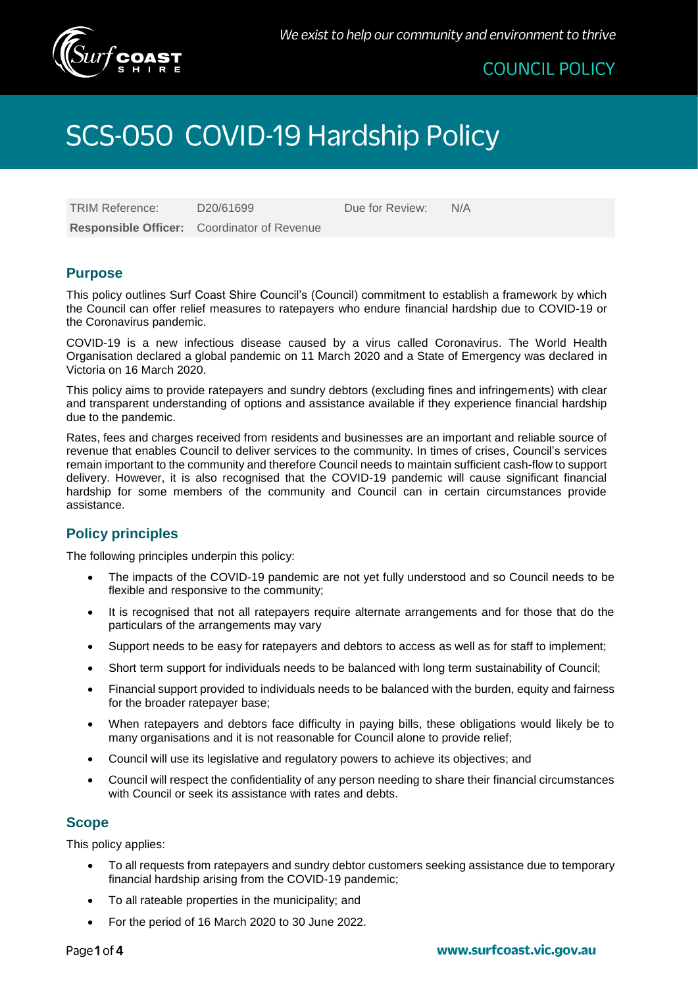

## **COUNCIL POLICY**

# SCS-050 COVID-19 Hardship Policy

TRIM Reference:  $D20/61699$  Due for Review: N/A **Responsible Officer:** Coordinator of Revenue

#### **Purpose**

This policy outlines Surf Coast Shire Council's (Council) commitment to establish a framework by which the Council can offer relief measures to ratepayers who endure financial hardship due to COVID-19 or the Coronavirus pandemic.

COVID-19 is a new infectious disease caused by a virus called Coronavirus. The World Health Organisation declared a global pandemic on 11 March 2020 and a State of Emergency was declared in Victoria on 16 March 2020.

This policy aims to provide ratepayers and sundry debtors (excluding fines and infringements) with clear and transparent understanding of options and assistance available if they experience financial hardship due to the pandemic.

Rates, fees and charges received from residents and businesses are an important and reliable source of revenue that enables Council to deliver services to the community. In times of crises, Council's services remain important to the community and therefore Council needs to maintain sufficient cash-flow to support delivery. However, it is also recognised that the COVID-19 pandemic will cause significant financial hardship for some members of the community and Council can in certain circumstances provide assistance.

### **Policy principles**

The following principles underpin this policy:

- The impacts of the COVID-19 pandemic are not yet fully understood and so Council needs to be flexible and responsive to the community;
- It is recognised that not all ratepayers require alternate arrangements and for those that do the particulars of the arrangements may vary
- Support needs to be easy for ratepayers and debtors to access as well as for staff to implement;
- Short term support for individuals needs to be balanced with long term sustainability of Council;
- Financial support provided to individuals needs to be balanced with the burden, equity and fairness for the broader ratepayer base;
- When ratepayers and debtors face difficulty in paying bills, these obligations would likely be to many organisations and it is not reasonable for Council alone to provide relief;
- Council will use its legislative and regulatory powers to achieve its objectives; and
- Council will respect the confidentiality of any person needing to share their financial circumstances with Council or seek its assistance with rates and debts.

#### **Scope**

This policy applies:

- To all requests from ratepayers and sundry debtor customers seeking assistance due to temporary financial hardship arising from the COVID-19 pandemic;
- To all rateable properties in the municipality; and
- For the period of 16 March 2020 to 30 June 2022.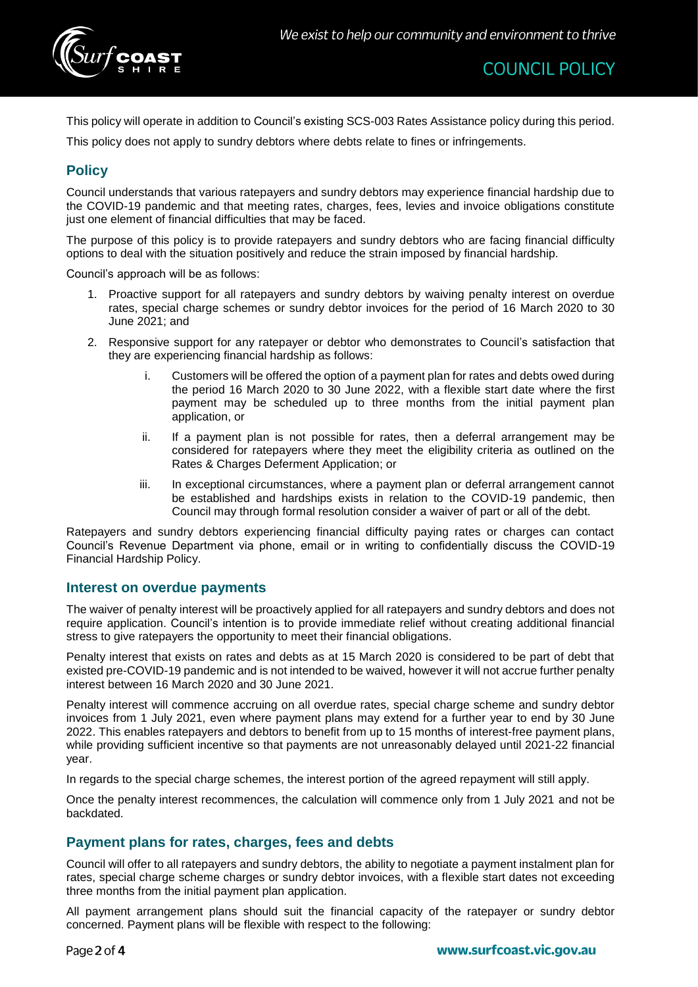

This policy will operate in addition to Council's existing SCS-003 Rates Assistance policy during this period.

This policy does not apply to sundry debtors where debts relate to fines or infringements.

## **Policy**

Council understands that various ratepayers and sundry debtors may experience financial hardship due to the COVID-19 pandemic and that meeting rates, charges, fees, levies and invoice obligations constitute just one element of financial difficulties that may be faced.

The purpose of this policy is to provide ratepayers and sundry debtors who are facing financial difficulty options to deal with the situation positively and reduce the strain imposed by financial hardship.

Council's approach will be as follows:

- 1. Proactive support for all ratepayers and sundry debtors by waiving penalty interest on overdue rates, special charge schemes or sundry debtor invoices for the period of 16 March 2020 to 30 June 2021; and
- 2. Responsive support for any ratepayer or debtor who demonstrates to Council's satisfaction that they are experiencing financial hardship as follows:
	- i. Customers will be offered the option of a payment plan for rates and debts owed during the period 16 March 2020 to 30 June 2022, with a flexible start date where the first payment may be scheduled up to three months from the initial payment plan application, or
	- ii. If a payment plan is not possible for rates, then a deferral arrangement may be considered for ratepayers where they meet the eligibility criteria as outlined on the Rates & Charges Deferment Application; or
	- iii. In exceptional circumstances, where a payment plan or deferral arrangement cannot be established and hardships exists in relation to the COVID-19 pandemic, then Council may through formal resolution consider a waiver of part or all of the debt.

Ratepayers and sundry debtors experiencing financial difficulty paying rates or charges can contact Council's Revenue Department via phone, email or in writing to confidentially discuss the COVID-19 Financial Hardship Policy.

#### **Interest on overdue payments**

The waiver of penalty interest will be proactively applied for all ratepayers and sundry debtors and does not require application. Council's intention is to provide immediate relief without creating additional financial stress to give ratepayers the opportunity to meet their financial obligations.

Penalty interest that exists on rates and debts as at 15 March 2020 is considered to be part of debt that existed pre-COVID-19 pandemic and is not intended to be waived, however it will not accrue further penalty interest between 16 March 2020 and 30 June 2021.

Penalty interest will commence accruing on all overdue rates, special charge scheme and sundry debtor invoices from 1 July 2021, even where payment plans may extend for a further year to end by 30 June 2022. This enables ratepayers and debtors to benefit from up to 15 months of interest-free payment plans, while providing sufficient incentive so that payments are not unreasonably delayed until 2021-22 financial year.

In regards to the special charge schemes, the interest portion of the agreed repayment will still apply.

Once the penalty interest recommences, the calculation will commence only from 1 July 2021 and not be backdated.

#### **Payment plans for rates, charges, fees and debts**

Council will offer to all ratepayers and sundry debtors, the ability to negotiate a payment instalment plan for rates, special charge scheme charges or sundry debtor invoices, with a flexible start dates not exceeding three months from the initial payment plan application.

All payment arrangement plans should suit the financial capacity of the ratepayer or sundry debtor concerned. Payment plans will be flexible with respect to the following: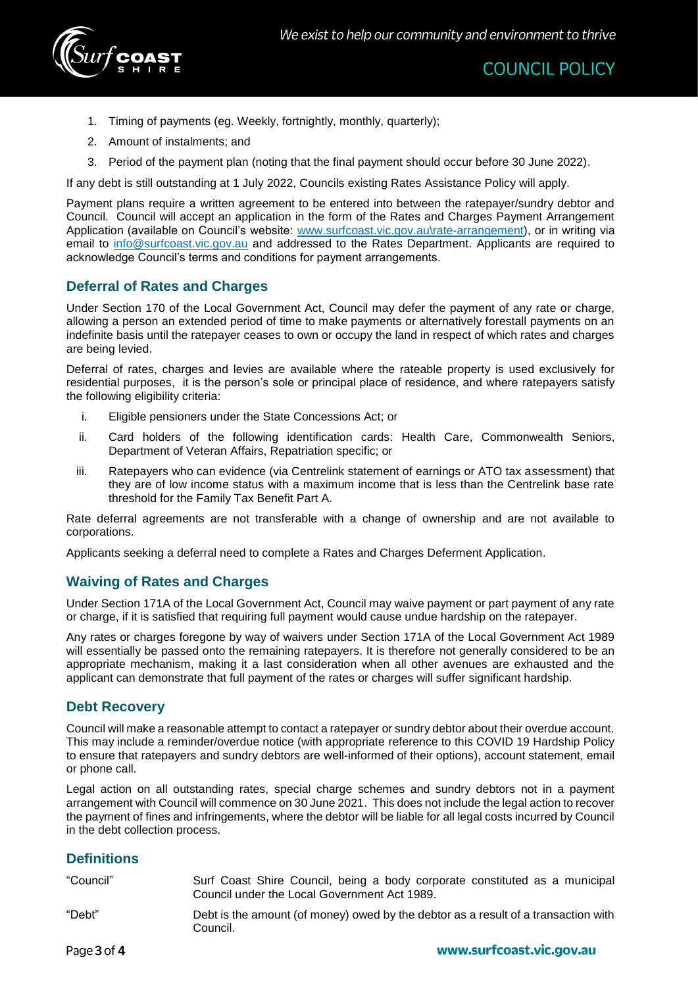

- 1. Timing of payments (eg. Weekly, fortnightly, monthly, quarterly);
- 2. Amount of instalments; and
- 3. Period of the payment plan (noting that the final payment should occur before 30 June 2022).

If any debt is still outstanding at 1 July 2022, Councils existing Rates Assistance Policy will apply.

Payment plans require a written agreement to be entered into between the ratepayer/sundry debtor and Council. Council will accept an application in the form of the Rates and Charges Payment Arrangement Application (available on Council's website: [www.surfcoast.vic.gov.au\rate-arrangement\)](http://www.surfcoast.vic.gov.au/rate-arrangement), or in writing via email to [info@surfcoast.vic.gov.au](mailto:info@surfcoast.vic.gov.au) and addressed to the Rates Department. Applicants are required to acknowledge Council's terms and conditions for payment arrangements.

#### **Deferral of Rates and Charges**

Under Section 170 of the Local Government Act, Council may defer the payment of any rate or charge, allowing a person an extended period of time to make payments or alternatively forestall payments on an indefinite basis until the ratepayer ceases to own or occupy the land in respect of which rates and charges are being levied.

Deferral of rates, charges and levies are available where the rateable property is used exclusively for residential purposes, it is the person's sole or principal place of residence, and where ratepayers satisfy the following eligibility criteria:

- i. Eligible pensioners under the State Concessions Act; or
- ii. Card holders of the following identification cards: Health Care, Commonwealth Seniors, Department of Veteran Affairs, Repatriation specific; or
- iii. Ratepayers who can evidence (via Centrelink statement of earnings or ATO tax assessment) that they are of low income status with a maximum income that is less than the Centrelink base rate threshold for the Family Tax Benefit Part A.

Rate deferral agreements are not transferable with a change of ownership and are not available to corporations.

Applicants seeking a deferral need to complete a Rates and Charges Deferment Application.

### **Waiving of Rates and Charges**

Under Section 171A of the Local Government Act, Council may waive payment or part payment of any rate or charge, if it is satisfied that requiring full payment would cause undue hardship on the ratepayer.

Any rates or charges foregone by way of waivers under Section 171A of the Local Government Act 1989 will essentially be passed onto the remaining ratepayers. It is therefore not generally considered to be an appropriate mechanism, making it a last consideration when all other avenues are exhausted and the applicant can demonstrate that full payment of the rates or charges will suffer significant hardship.

#### **Debt Recovery**

Council will make a reasonable attempt to contact a ratepayer or sundry debtor about their overdue account. This may include a reminder/overdue notice (with appropriate reference to this COVID 19 Hardship Policy to ensure that ratepayers and sundry debtors are well-informed of their options), account statement, email or phone call.

Legal action on all outstanding rates, special charge schemes and sundry debtors not in a payment arrangement with Council will commence on 30 June 2021. This does not include the legal action to recover the payment of fines and infringements, where the debtor will be liable for all legal costs incurred by Council in the debt collection process.

### **Definitions**

| "Council" | Surf Coast Shire Council, being a body corporate constituted as a municipal<br>Council under the Local Government Act 1989. |
|-----------|-----------------------------------------------------------------------------------------------------------------------------|
| "Debt"    | Debt is the amount (of money) owed by the debtor as a result of a transaction with<br>Council.                              |
| .         |                                                                                                                             |